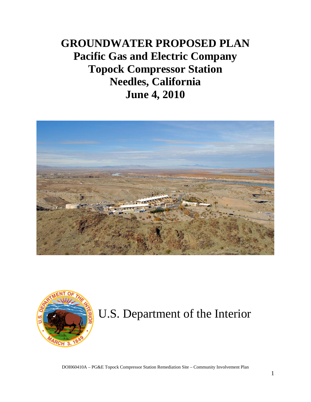# **GROUNDWATER PROPOSED PLAN Pacific Gas and Electric Company Topock Compressor Station Needles, California June 4, 2010**





# U.S. Department of the Interior

DOI060410A – PG&E Topock Compressor Station Remediation Site – Community Involvement Plan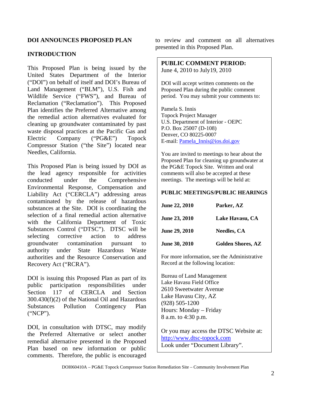# **INTRODUCTION**

This Proposed Plan is being issued by the United States Department of the Interior ("DOI") on behalf of itself and DOI's Bureau of Land Management ("BLM"), U.S. Fish and Wildlife Service ("FWS"), and Bureau of Reclamation ("Reclamation"). This Proposed Plan identifies the Preferred Alternative among the remedial action alternatives evaluated for cleaning up groundwater contaminated by past waste disposal practices at the Pacific Gas and Electric Company ("PG&E") Topock Compressor Station ("the Site") located near Needles, California.

This Proposed Plan is being issued by DOI as the lead agency responsible for activities conducted under the Comprehensive Environmental Response, Compensation and Liability Act ("CERCLA") addressing areas contaminated by the release of hazardous substances at the Site. DOI is coordinating the selection of a final remedial action alternative with the California Department of Toxic Substances Control ("DTSC"). DTSC will be selecting corrective action to address groundwater contamination pursuant to authority under State Hazardous Waste authorities and the Resource Conservation and Recovery Act ("RCRA").

DOI is issuing this Proposed Plan as part of its public participation responsibilities under Section 117 of CERCLA and Section 300.430(f)(2) of the National Oil and Hazardous Substances Pollution Contingency Plan ("NCP").

DOI, in consultation with DTSC, may modify the Preferred Alternative or select another remedial alternative presented in the Proposed Plan based on new information or public comments. Therefore, the public is encouraged

to review and comment on all alternatives presented in this Proposed Plan.

**PUBLIC COMMENT PERIOD:**  June 4, 2010 to July19, 2010

DOI will accept written comments on the Proposed Plan during the public comment period. You may submit your comments to:

Pamela S. Innis Topock Project Manager U.S. Department of Interior - OEPC P.O. Box 25007 (D-108) Denver, CO 80225-0007 E-mail: [Pamela\\_Innis@ios.doi.gov](mailto:Pamela_Innis@ios.doi.gov)

You are invited to meetings to hear about the Proposed Plan for cleaning up groundwater at the PG&E Topock Site. Written and oral comments will also be accepted at these meetings. The meetings will be held at:

#### **PUBLIC MEETINGS/PUBLIC HEARINGS**

| June 22, 2010        | Parker, AZ               |
|----------------------|--------------------------|
| <b>June 23, 2010</b> | Lake Havasu, CA          |
| <b>June 29, 2010</b> | <b>Needles, CA</b>       |
| <b>June 30, 2010</b> | <b>Golden Shores, AZ</b> |

For more information, see the Administrative Record at the following location:

Bureau of Land Management Lake Havasu Field Office 2610 Sweetwater Avenue Lake Havasu City, AZ (928) 505-1200 Hours: Monday – Friday 8 a.m. to 4:30 p.m.

Or you may access the DTSC Website at: [http://www.dtsc-topock.com](http://www.dtsc-topock.com/)  Look under "Document Library".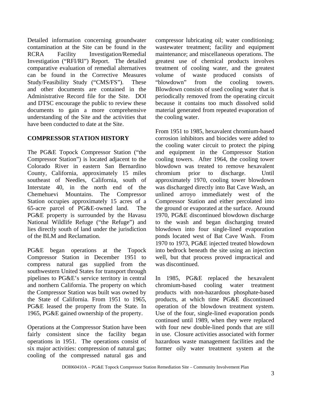Detailed information concerning groundwater contamination at the Site can be found in the RCRA Facility Investigation/Remedial Investigation ("RFI/RI") Report. The detailed comparative evaluation of remedial alternatives can be found in the Corrective Measures Study/Feasibility Study ("CMS/FS"). These and other documents are contained in the Administrative Record file for the Site. DOI and DTSC encourage the public to review these documents to gain a more comprehensive understanding of the Site and the activities that have been conducted to date at the Site.

#### **COMPRESSOR STATION HISTORY**

The PG&E Topock Compressor Station ("the Compressor Station") is located adjacent to the Colorado River in eastern San Bernardino County, California, approximately 15 miles southeast of Needles, California, south of Interstate 40, in the north end of the Chemehuevi Mountains. The Compressor Station occupies approximately 15 acres of a 65-acre parcel of PG&E-owned land. The PG&E property is surrounded by the Havasu National Wildlife Refuge ("the Refuge") and lies directly south of land under the jurisdiction of the BLM and Reclamation.

PG&E began operations at the Topock Compressor Station in December 1951 to compress natural gas supplied from the southwestern United States for transport through pipelines to PG&E's service territory in central and northern California. The property on which the Compressor Station was built was owned by the State of California. From 1951 to 1965, PG&E leased the property from the State. In 1965, PG&E gained ownership of the property.

Operations at the Compressor Station have been fairly consistent since the facility began operations in 1951. The operations consist of six major activities: compression of natural gas; cooling of the compressed natural gas and compressor lubricating oil; water conditioning; wastewater treatment; facility and equipment maintenance; and miscellaneous operations. The greatest use of chemical products involves treatment of cooling water, and the greatest volume of waste produced consists of "blowdown" from the cooling towers. Blowdown consists of used cooling water that is periodically removed from the operating circuit because it contains too much dissolved solid material generated from repeated evaporation of the cooling water.

From 1951 to 1985, hexavalent chromium-based corrosion inhibitors and biocides were added to the cooling water circuit to protect the piping and equipment in the Compressor Station cooling towers. After 1964, the cooling tower blowdown was treated to remove hexavalent chromium prior to discharge. Until approximately 1970, cooling tower blowdown was discharged directly into Bat Cave Wash, an unlined arroyo immediately west of the Compressor Station and either percolated into the ground or evaporated at the surface. Around 1970, PG&E discontinued blowdown discharge to the wash and began discharging treated blowdown into four single-lined evaporation ponds located west of Bat Cave Wash. From 1970 to 1973, PG&E injected treated blowdown into bedrock beneath the site using an injection well, but that process proved impractical and was discontinued.

In 1985, PG&E replaced the hexavalent chromium-based cooling water treatment products with non-hazardous phosphate-based products, at which time PG&E discontinued operation of the blowdown treatment system. Use of the four, single-lined evaporation ponds continued until 1989, when they were replaced with four new double-lined ponds that are still in use. Closure activities associated with former hazardous waste management facilities and the former oily water treatment system at the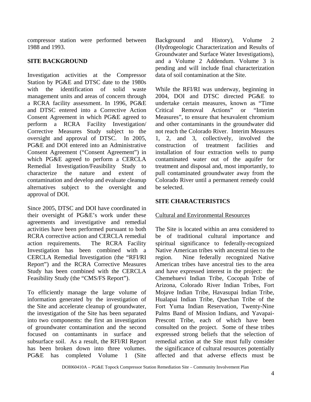compressor station were performed between 1988 and 1993.

## **SITE BACKGROUND**

Investigation activities at the Compressor Station by PG&E and DTSC date to the 1980s with the identification of solid waste management units and areas of concern through a RCRA facility assessment. In 1996, PG&E and DTSC entered into a Corrective Action Consent Agreement in which PG&E agreed to perform a RCRA Facility Investigation/ Corrective Measures Study subject to the oversight and approval of DTSC. In 2005, PG&E and DOI entered into an Administrative Consent Agreement ("Consent Agreement") in which PG&E agreed to perform a CERCLA Remedial Investigation/Feasibility Study to characterize the nature and extent of contamination and develop and evaluate cleanup alternatives subject to the oversight and approval of DOI.

Since 2005, DTSC and DOI have coordinated in their oversight of PG&E's work under these agreements and investigative and remedial activities have been performed pursuant to both RCRA corrective action and CERCLA remedial action requirements. The RCRA Facility Investigation has been combined with a CERCLA Remedial Investigation (the "RFI/RI Report") and the RCRA Corrective Measures Study has been combined with the CERCLA Feasibility Study (the "CMS/FS Report").

To efficiently manage the large volume of information generated by the investigation of the Site and accelerate cleanup of groundwater, the investigation of the Site has been separated into two components: the first an investigation of groundwater contamination and the second focused on contaminants in surface and subsurface soil. As a result, the RFI/RI Report has been broken down into three volumes. PG&E has completed Volume 1 (Site Background and History), Volume 2 (Hydrogeologic Characterization and Results of Groundwater and Surface Water Investigations), and a Volume 2 Addendum. Volume 3 is pending and will include final characterization data of soil contamination at the Site.

While the RFI/RI was underway, beginning in 2004, DOI and DTSC directed PG&E to undertake certain measures, known as "Time Critical Removal Actions" or "Interim Measures", to ensure that hexavalent chromium and other contaminants in the groundwater did not reach the Colorado River. Interim Measures 1, 2, and 3, collectively, involved the construction of treatment facilities and installation of four extraction wells to pump contaminated water out of the aquifer for treatment and disposal and, most importantly, to pull contaminated groundwater away from the Colorado River until a permanent remedy could be selected.

#### **SITE CHARACTERISTICS**

#### Cultural and Environmental Resources

The Site is located within an area considered to be of traditional cultural importance and spiritual significance to federally-recognized Native American tribes with ancestral ties to the region. Nine federally recognized Native American tribes have ancestral ties to the area and have expressed interest in the project: the Chemehuevi Indian Tribe, Cocopah Tribe of Arizona, Colorado River Indian Tribes, Fort Mojave Indian Tribe, Havasupai Indian Tribe, Hualapai Indian Tribe, Quechan Tribe of the Fort Yuma Indian Reservation, Twenty-Nine Palms Band of Mission Indians, and Yavapai-Prescott Tribe, each of which have been consulted on the project. Some of these tribes expressed strong beliefs that the selection of remedial action at the Site must fully consider the significance of cultural resources potentially affected and that adverse effects must be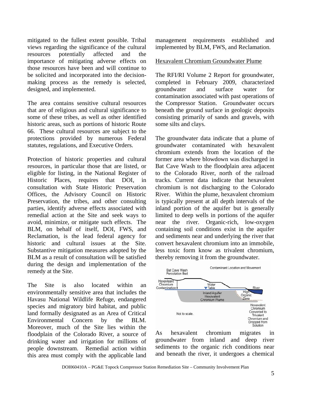mitigated to the fullest extent possible. Tribal views regarding the significance of the cultural resources potentially affected and the importance of mitigating adverse effects on those resources have been and will continue to be solicited and incorporated into the decisionmaking process as the remedy is selected, designed, and implemented.

The area contains sensitive cultural resources that are of religious and cultural significance to some of these tribes, as well as other identified historic areas, such as portions of historic Route 66. These cultural resources are subject to the protections provided by numerous Federal statutes, regulations, and Executive Orders.

Protection of historic properties and cultural resources, in particular those that are listed, or eligible for listing, in the National Register of Historic Places, requires that DOI, in consultation with State Historic Preservation Offices, the Advisory Council on Historic Preservation, the tribes, and other consulting parties, identify adverse effects associated with remedial action at the Site and seek ways to avoid, minimize, or mitigate such effects. The BLM, on behalf of itself, DOI, FWS, and Reclamation, is the lead federal agency for historic and cultural issues at the Site. Substantive mitigation measures adopted by the BLM as a result of consultation will be satisfied during the design and implementation of the remedy at the Site.

The Site is also located within an environmentally sensitive area that includes the Havasu National Wildlife Refuge, endangered species and migratory bird habitat, and public land formally designated as an Area of Critical Environmental Concern by the BLM. Moreover, much of the Site lies within the floodplain of the Colorado River, a source of drinking water and irrigation for millions of people downstream. Remedial action within this area must comply with the applicable land

management requirements established and implemented by BLM, FWS, and Reclamation.

#### Hexavalent Chromium Groundwater Plume

The RFI/RI Volume 2 Report for groundwater, completed in February 2009, characterized groundwater and surface water for contamination associated with past operations of the Compressor Station. Groundwater occurs beneath the ground surface in geologic deposits consisting primarily of sands and gravels, with some silts and clays.

The groundwater data indicate that a plume of groundwater contaminated with hexavalent chromium extends from the location of the former area where blowdown was discharged in Bat Cave Wash to the floodplain area adjacent to the Colorado River, north of the railroad tracks. Current data indicate that hexavalent chromium is not discharging to the Colorado River. Within the plume, hexavalent chromium is typically present at all depth intervals of the inland portion of the aquifer but is generally limited to deep wells in portions of the aquifer near the river. Organic-rich, low-oxygen containing soil conditions exist in the aquifer and sediments near and underlying the river that convert hexavalent chromium into an immobile, less toxic form know as trivalent chromium, thereby removing it from the groundwater.



As hexavalent chromium migrates in groundwater from inland and deep river sediments to the organic rich conditions near and beneath the river, it undergoes a chemical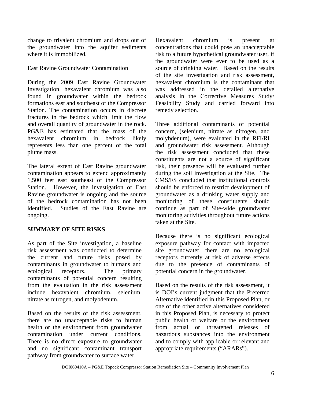change to trivalent chromium and drops out of the groundwater into the aquifer sediments where it is immobilized.

#### East Ravine Groundwater Contamination

During the 2009 East Ravine Groundwater Investigation, hexavalent chromium was also found in groundwater within the bedrock formations east and southeast of the Compressor Station. The contamination occurs in discrete fractures in the bedrock which limit the flow and overall quantity of groundwater in the rock. PG&E has estimated that the mass of the hexavalent chromium in bedrock likely represents less than one percent of the total plume mass.

The lateral extent of East Ravine groundwater contamination appears to extend approximately 1,500 feet east southeast of the Compressor Station. However, the investigation of East Ravine groundwater is ongoing and the source of the bedrock contamination has not been identified. Studies of the East Ravine are ongoing.

# **SUMMARY OF SITE RISKS**

As part of the Site investigation, a baseline risk assessment was conducted to determine the current and future risks posed by contaminants in groundwater to humans and ecological receptors. The primary contaminants of potential concern resulting from the evaluation in the risk assessment include hexavalent chromium, selenium, nitrate as nitrogen, and molybdenum.

Based on the results of the risk assessment, there are no unacceptable risks to human health or the environment from groundwater contamination under current conditions. There is no direct exposure to groundwater and no significant contaminant transport pathway from groundwater to surface water.

Hexavalent chromium is present at concentrations that could pose an unacceptable risk to a future hypothetical groundwater user, if the groundwater were ever to be used as a source of drinking water. Based on the results of the site investigation and risk assessment, hexavalent chromium is the contaminant that was addressed in the detailed alternative analysis in the Corrective Measures Study/ Feasibility Study and carried forward into remedy selection.

Three additional contaminants of potential concern, (selenium, nitrate as nitrogen, and molybdenum), were evaluated in the RFI/RI and groundwater risk assessment. Although the risk assessment concluded that these constituents are not a source of significant risk, their presence will be evaluated further during the soil investigation at the Site. The CMS/FS concluded that institutional controls should be enforced to restrict development of groundwater as a drinking water supply and monitoring of these constituents should continue as part of Site-wide groundwater monitoring activities throughout future actions taken at the Site.

Because there is no significant ecological exposure pathway for contact with impacted site groundwater, there are no ecological receptors currently at risk of adverse effects due to the presence of contaminants of potential concern in the groundwater.

Based on the results of the risk assessment, it is DOI's current judgment that the Preferred Alternative identified in this Proposed Plan, or one of the other active alternatives considered in this Proposed Plan, is necessary to protect public health or welfare or the environment from actual or threatened releases of hazardous substances into the environment and to comply with applicable or relevant and appropriate requirements ("ARARs").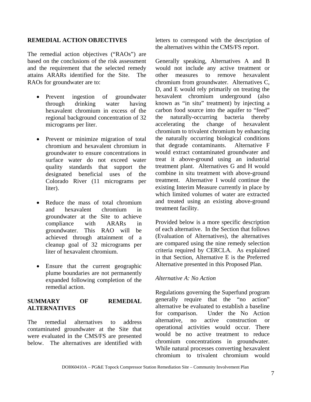#### **REMEDIAL ACTION OBJECTIVES**

The remedial action objectives ("RAOs") are based on the conclusions of the risk assessment and the requirement that the selected remedy attains ARARs identified for the Site. The RAOs for groundwater are to:

- Prevent ingestion of groundwater through drinking water having hexavalent chromium in excess of the regional background concentration of 32 micrograms per liter.
- Prevent or minimize migration of total chromium and hexavalent chromium in groundwater to ensure concentrations in surface water do not exceed water quality standards that support the designated beneficial uses of the Colorado River (11 micrograms per liter).
- Reduce the mass of total chromium and hexavalent chromium in groundwater at the Site to achieve compliance with ARARs in groundwater. This RAO will be achieved through attainment of a cleanup goal of 32 micrograms per liter of hexavalent chromium.
- Ensure that the current geographic plume boundaries are not permanently expanded following completion of the remedial action.

# **SUMMARY OF REMEDIAL ALTERNATIVES**

The remedial alternatives to address contaminated groundwater at the Site that were evaluated in the CMS/FS are presented below. The alternatives are identified with

letters to correspond with the description of the alternatives within the CMS/FS report.

Generally speaking, Alternatives A and B would not include any active treatment or other measures to remove hexavalent chromium from groundwater. Alternatives C, D, and E would rely primarily on treating the hexavalent chromium underground (also known as "in situ" treatment) by injecting a carbon food source into the aquifer to "feed" the naturally-occurring bacteria thereby accelerating the change of hexavalent chromium to trivalent chromium by enhancing the naturally occurring biological conditions that degrade contaminants. Alternative F would extract contaminated groundwater and treat it above-ground using an industrial treatment plant. Alternatives G and H would combine in situ treatment with above-ground treatment. Alternative I would continue the existing Interim Measure currently in place by which limited volumes of water are extracted and treated using an existing above-ground treatment facility.

Provided below is a more specific description of each alternative. In the Section that follows (Evaluation of Alternatives), the alternatives are compared using the nine remedy selection criteria required by CERCLA. As explained in that Section, Alternative E is the Preferred Alternative presented in this Proposed Plan.

#### *Alternative A: No Action*

Regulations governing the Superfund program generally require that the "no action" alternative be evaluated to establish a baseline for comparison. Under the No Action alternative, no active construction or operational activities would occur. There would be no active treatment to reduce chromium concentrations in groundwater. While natural processes converting hexavalent chromium to trivalent chromium would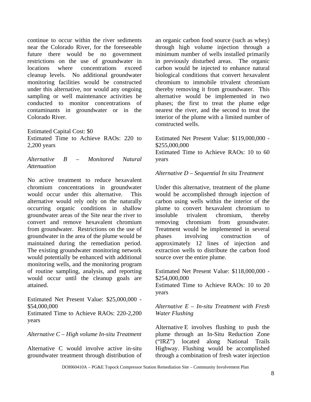continue to occur within the river sediments near the Colorado River, for the foreseeable future there would be no government restrictions on the use of groundwater in locations where concentrations exceed cleanup levels. No additional groundwater monitoring facilities would be constructed under this alternative, nor would any ongoing sampling or well maintenance activities be conducted to monitor concentrations of contaminants in groundwater or in the Colorado River.

Estimated Capital Cost: \$0 Estimated Time to Achieve RAOs: 220 to 2,200 years

*Alternative B – Monitored Natural Attenuation* 

No active treatment to reduce hexavalent chromium concentrations in groundwater would occur under this alternative. This alternative would rely only on the naturally occurring organic conditions in shallow groundwater areas of the Site near the river to convert and remove hexavalent chromium from groundwater. Restrictions on the use of groundwater in the area of the plume would be maintained during the remediation period. The existing groundwater monitoring network would potentially be enhanced with additional monitoring wells, and the monitoring program of routine sampling, analysis, and reporting would occur until the cleanup goals are attained.

Estimated Net Present Value: \$25,000,000 - \$54,000,000

Estimated Time to Achieve RAOs: 220-2,200 years

*Alternative C – High volume In-situ Treatment* 

Alternative C would involve active in-situ groundwater treatment through distribution of an organic carbon food source (such as whey) through high volume injection through a minimum number of wells installed primarily in previously disturbed areas. The organic carbon would be injected to enhance natural biological conditions that convert hexavalent chromium to immobile trivalent chromium thereby removing it from groundwater. This alternative would be implemented in two phases; the first to treat the plume edge nearest the river, and the second to treat the interior of the plume with a limited number of constructed wells.

Estimated Net Present Value: \$119,000,000 - \$255,000,000 Estimated Time to Achieve RAOs: 10 to 60 years

#### *Alternative D – Sequential In situ Treatment*

Under this alternative, treatment of the plume would be accomplished through injection of carbon using wells within the interior of the plume to convert hexavalent chromium to insoluble trivalent chromium, thereby removing chromium from groundwater. Treatment would be implemented in several phases involving construction of approximately 12 lines of injection and extraction wells to distribute the carbon food source over the entire plume.

Estimated Net Present Value: \$118,000,000 - \$254,000,000

Estimated Time to Achieve RAOs: 10 to 20 years

#### *Alternative E – In-situ Treatment with Fresh Water Flushing*

Alternative E involves flushing to push the plume through an In-Situ Reduction Zone ("IRZ") located along National Trails Highway. Flushing would be accomplished through a combination of fresh water injection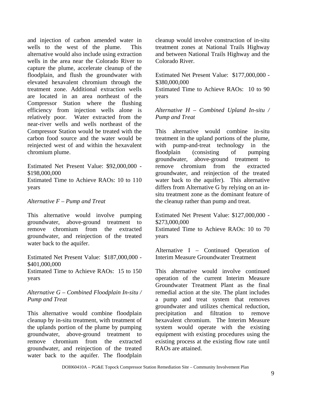and injection of carbon amended water in wells to the west of the plume. This alternative would also include using extraction wells in the area near the Colorado River to capture the plume, accelerate cleanup of the floodplain, and flush the groundwater with elevated hexavalent chromium through the treatment zone. Additional extraction wells are located in an area northeast of the Compressor Station where the flushing efficiency from injection wells alone is relatively poor. Water extracted from the near-river wells and wells northeast of the Compressor Station would be treated with the carbon food source and the water would be reinjected west of and within the hexavalent chromium plume.

Estimated Net Present Value: \$92,000,000 - \$198,000,000

Estimated Time to Achieve RAOs: 10 to 110 years

## *Alternative F – Pump and Treat*

This alternative would involve pumping groundwater, above-ground treatment to remove chromium from the extracted groundwater, and reinjection of the treated water back to the aquifer.

Estimated Net Present Value: \$187,000,000 - \$401,000,000

Estimated Time to Achieve RAOs: 15 to 150 years

#### *Alternative G – Combined Floodplain In-situ / Pump and Treat*

This alternative would combine floodplain cleanup by in-situ treatment, with treatment of the uplands portion of the plume by pumping groundwater, above-ground treatment to remove chromium from the extracted groundwater, and reinjection of the treated water back to the aquifer. The floodplain

cleanup would involve construction of in-situ treatment zones at National Trails Highway and between National Trails Highway and the Colorado River.

Estimated Net Present Value: \$177,000,000 - \$380,000,000

Estimated Time to Achieve RAOs: 10 to 90 years

*Alternative H – Combined Upland In-situ / Pump and Treat* 

This alternative would combine in-situ treatment in the upland portions of the plume, with pump-and-treat technology in the floodplain (consisting of pumping groundwater, above-ground treatment to remove chromium from the extracted groundwater, and reinjection of the treated water back to the aquifer). This alternative differs from Alternative G by relying on an insitu treatment zone as the dominant feature of the cleanup rather than pump and treat.

Estimated Net Present Value: \$127,000,000 - \$273,000,000

Estimated Time to Achieve RAOs: 10 to 70 years

Alternative I – Continued Operation of Interim Measure Groundwater Treatment

This alternative would involve continued operation of the current Interim Measure Groundwater Treatment Plant as the final remedial action at the site. The plant includes a pump and treat system that removes groundwater and utilizes chemical reduction, precipitation and filtration to remove hexavalent chromium. The Interim Measure system would operate with the existing equipment with existing procedures using the existing process at the existing flow rate until RAOs are attained.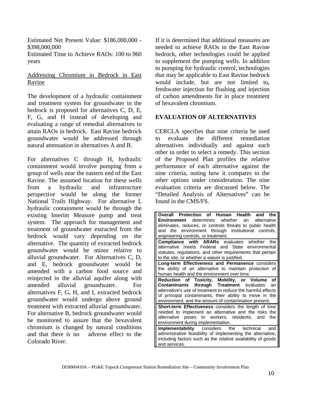Estimated Net Present Value: \$186,000,000 - \$398,000,000

Estimated Time to Achieve RAOs: 100 to 960 years

# Addressing Chromium in Bedrock in East Ravine

The development of a hydraulic containment and treatment system for groundwater in the bedrock is proposed for alternatives C, D, E, F, G, and H instead of developing and evaluating a range of remedial alternatives to attain RAOs in bedrock. East Ravine bedrock groundwater would be addressed through natural attenuation in alternatives A and B.

For alternatives C through H, hydraulic containment would involve pumping from a group of wells near the eastern end of the East Ravine. The assumed location for these wells from a hydraulic and infrastructure perspective would be along the former National Trails Highway. For alternative I, hydraulic containment would be through the existing Interim Measure pump and treat system. The approach for management and treatment of groundwater extracted from the bedrock would vary depending on the alternative. The quantity of extracted bedrock groundwater would be minor relative to alluvial groundwater. For Alternatives C, D, and E, bedrock groundwater would be amended with a carbon food source and reinjected in the alluvial aquifer along with amended alluvial groundwater. For alternatives F, G, H, and I, extracted bedrock groundwater would undergo above ground treatment with extracted alluvial groundwater. For alternative B, bedrock groundwater would be monitored to assure that the hexavalent chromium is changed by natural conditions and that there is no adverse effect to the Colorado River.

If it is determined that additional measures are needed to achieve RAOs in the East Ravine bedrock, other technologies could be applied to supplement the pumping wells. In addition to pumping for hydraulic control, technologies that may be applicable to East Ravine bedrock would include, but are not limited to, freshwater injection for flushing and injection of carbon amendments for in place treatment of hexavalent chromium.

# **EVALUATION OF ALTERNATIVES**

CERCLA specifies that nine criteria be used to evaluate the different remediation alternatives individually and against each other in order to select a remedy. This section of the Proposed Plan profiles the relative performance of each alternative against the nine criteria, noting how it compares to the other options under consideration. The nine evaluation criteria are discussed below. The "Detailed Analysis of Alternatives" can be found in the CMS/FS.

| Overall Protection of Human Health and the                   |  |  |
|--------------------------------------------------------------|--|--|
| <b>Environment</b> determines whether an<br>alternative      |  |  |
| eliminates, reduces, or controls threats to public health    |  |  |
| and the environment through institutional controls,          |  |  |
| engineering controls, or treatment.                          |  |  |
| <b>Compliance with ARARs</b> evaluates whether<br>the        |  |  |
| alternative meets Federal and State environmental            |  |  |
| statutes, regulations, and other requirements that pertain   |  |  |
| to the site, or whether a waiver is justified.               |  |  |
| Long-term Effectiveness and Permanence considers             |  |  |
| the ability of an alternative to maintain protection of      |  |  |
| human health and the environment over time.                  |  |  |
| Reduction of Toxicity, Mobility, or Volume<br>оf             |  |  |
| <b>Contaminants through Treatment</b> evaluates<br>an        |  |  |
| alternative's use of treatment to reduce the harmful effects |  |  |
| of principal contaminants, their ability to move in the      |  |  |
| environment, and the amount of contamination present.        |  |  |
| <b>Short-term Effectiveness</b> considers the length of time |  |  |
| needed to implement an alternative and the risks the         |  |  |
| alternative poses to workers, residents, and<br>the          |  |  |
| environment during implementation.                           |  |  |
| <b>Implementability</b> considers the technical<br>and       |  |  |
| administrative feasibility of implementing the alternative,  |  |  |
| including factors such as the relative availability of goods |  |  |
| and services.                                                |  |  |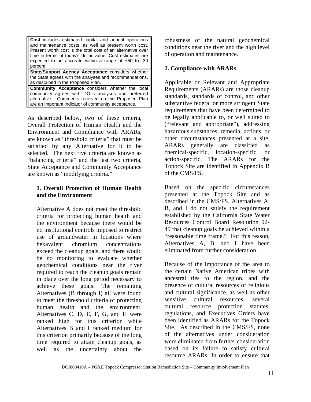| <b>Cost</b> includes estimated capital and annual operations<br>and maintenance costs, as well as present worth cost.<br>Present worth cost is the total cost of an alternative over<br>time in terms of today's dollar value. Cost estimates are<br>expected to be accurate within a range of $+50$ to $-30$<br>percent. |  |
|---------------------------------------------------------------------------------------------------------------------------------------------------------------------------------------------------------------------------------------------------------------------------------------------------------------------------|--|
| State/Support Agency Acceptance considers whether<br>the State agrees with the analyses and recommendations,<br>as described in the Proposed Plan.                                                                                                                                                                        |  |
| <b>Community Acceptance</b> considers whether the local<br>a and a control of the control of the control of the control of the control of the control of the control of t                                                                                                                                                 |  |

community agrees with DOI's analyses and preferred alternative. Comments received on the Proposed Plan are an important indicator of community acceptance.

As described below, two of these criteria, Overall Protection of Human Health and the Environment and Compliance with ARARs, are known as "threshold criteria" that must be satisfied by any Alternative for it to be selected. The next five criteria are known as "balancing criteria" and the last two criteria, State Acceptance and Community Acceptance are known as "modifying criteria."

## **1. Overall Protection of Human Health and the Environment**

Alternative A does not meet the threshold criteria for protecting human health and the environment because there would be no institutional controls imposed to restrict use of groundwater in locations where hexavalent chromium concentrations exceed the cleanup goals, and there would be no monitoring to evaluate whether geochemical conditions near the river required to reach the cleanup goals remain in place over the long period necessary to achieve these goals. The remaining Alternatives (B through I) all were found to meet the threshold criteria of protecting human health and the environment. Alternatives C, D, E, F, G, and H were ranked high for this criterion while Alternatives B and I ranked medium for this criterion primarily because of the long time required to attain cleanup goals, as well as the uncertainty about the

robustness of the natural geochemical conditions near the river and the high level of operation and maintenance.

# **2. Compliance with ARARs**

Applicable or Relevant and Appropriate Requirements (ARARs) are those cleanup standards, standards of control, and other substantive federal or more stringent State requirements that have been determined to be legally applicable to, or well suited to ("relevant and appropriate"), addressing hazardous substances, remedial actions, or other circumstances presented at a site. ARARs generally are classified as chemical-specific, location-specific, or action-specific. The ARARs for the Topock Site are identified in Appendix B of the CMS/FS.

Based on the specific circumstances presented at the Topock Site and as described in the CMS/FS, Alternatives A, B, and I do not satisfy the requirement established by the California State Water Resources Control Board Resolution 92- 49 that cleanup goals be achieved within a "reasonable time frame." For this reason, Alternatives A, B, and I have been eliminated from further consideration.

Because of the importance of the area to the certain Native American tribes with ancestral ties to the region, and the presence of cultural resources of religious and cultural significance, as well as other sensitive cultural resources, several cultural resource protection statutes, regulations, and Executives Orders have been identified as ARARs for the Topock Site. As described in the CMS/FS, none of the alternatives under consideration were eliminated from further consideration based on its failure to satisfy cultural resource ARARs. In order to ensure that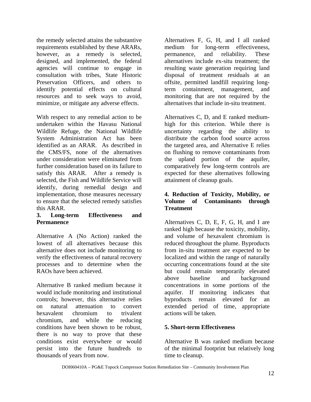the remedy selected attains the substantive requirements established by these ARARs, however, as a remedy is selected, designed, and implemented, the federal agencies will continue to engage in consultation with tribes, State Historic Preservation Officers, and others to identify potential effects on cultural resources and to seek ways to avoid, minimize, or mitigate any adverse effects.

With respect to any remedial action to be undertaken within the Havasu National Wildlife Refuge, the National Wildlife System Administration Act has been identified as an ARAR. As described in the CMS/FS, none of the alternatives under consideration were eliminated from further consideration based on its failure to satisfy this ARAR. After a remedy is selected, the Fish and Wildlife Service will identify, during remedial design and implementation, those measures necessary to ensure that the selected remedy satisfies this ARAR.

# **3. Long-term Effectiveness and Permanence**

Alternative A (No Action) ranked the lowest of all alternatives because this alternative does not include monitoring to verify the effectiveness of natural recovery processes and to determine when the RAOs have been achieved.

Alternative B ranked medium because it would include monitoring and institutional controls; however, this alternative relies on natural attenuation to convert hexavalent chromium to trivalent chromium, and while the reducing conditions have been shown to be robust, there is no way to prove that these conditions exist everywhere or would persist into the future hundreds to thousands of years from now.

Alternatives F, G, H, and I all ranked medium for long-term effectiveness, permanence, and reliability. These alternatives include ex-situ treatment; the resulting waste generation requiring land disposal of treatment residuals at an offsite, permitted landfill requiring longterm containment, management, and monitoring that are not required by the alternatives that include in-situ treatment.

Alternatives C, D, and E ranked mediumhigh for this criterion. While there is uncertainty regarding the ability to distribute the carbon food source across the targeted area, and Alternative E relies on flushing to remove contaminants from the upland portion of the aquifer, comparatively few long-term controls are expected for these alternatives following attainment of cleanup goals.

# **4. Reduction of Toxicity, Mobility, or Volume of Contaminants through Treatment**

Alternatives C, D, E, F, G, H, and I are ranked high because the toxicity, mobility, and volume of hexavalent chromium is reduced throughout the plume. Byproducts from in-situ treatment are expected to be localized and within the range of naturally occurring concentrations found at the site but could remain temporarily elevated above baseline and background concentrations in some portions of the aquifer. If monitoring indicates that byproducts remain elevated for an extended period of time, appropriate actions will be taken.

# **5. Short-term Effectiveness**

Alternative B was ranked medium because of the minimal footprint but relatively long time to cleanup.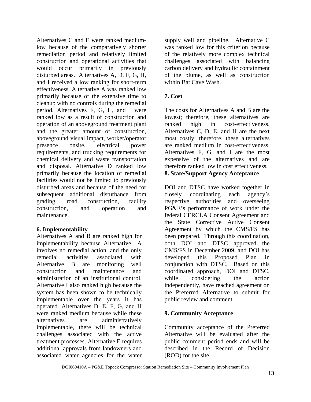Alternatives C and E were ranked mediumlow because of the comparatively shorter remediation period and relatively limited construction and operational activities that would occur primarily in previously disturbed areas. Alternatives A, D, F, G, H, and I received a low ranking for short-term effectiveness. Alternative A was ranked low primarily because of the extensive time to cleanup with no controls during the remedial period. Alternatives F, G, H, and I were ranked low as a result of construction and operation of an aboveground treatment plant and the greater amount of construction, aboveground visual impact, worker/operator presence onsite, electrical power requirements, and trucking requirements for chemical delivery and waste transportation and disposal. Alternative D ranked low primarily because the location of remedial facilities would not be limited to previously disturbed areas and because of the need for subsequent additional disturbance from grading, road construction, facility construction, and operation and maintenance.

# **6. Implementability**

Alternatives A and B are ranked high for implementability because Alternative A involves no remedial action, and the only remedial activities associated with Alternative B are monitoring well construction and maintenance and administration of an institutional control. Alternative I also ranked high because the system has been shown to be technically implementable over the years it has operated. Alternatives D, E, F, G, and H were ranked medium because while these alternatives are administratively implementable, there will be technical challenges associated with the active treatment processes. Alternative E requires additional approvals from landowners and associated water agencies for the water

supply well and pipeline. Alternative C was ranked low for this criterion because of the relatively more complex technical challenges associated with balancing carbon delivery and hydraulic containment of the plume, as well as construction within Bat Cave Wash.

# **7. Cost**

The costs for Alternatives A and B are the lowest; therefore, these alternatives are ranked high in cost-effectiveness. Alternatives C, D, E, and H are the next most costly; therefore, these alternatives are ranked medium in cost-effectiveness. Alternatives F, G, and I are the most expensive of the alternatives and are therefore ranked low in cost effectiveness. **8. State/Support Agency Acceptance** 

DOI and DTSC have worked together in closely coordinating each agency's respective authorities and overseeing PG&E's performance of work under the federal CERCLA Consent Agreement and the State Corrective Active Consent Agreement by which the CMS/FS has been prepared. Through this coordination, both DOI and DTSC approved the CMS/FS in December 2009, and DOI has developed this Proposed Plan in conjunction with DTSC. Based on this coordinated approach, DOI and DTSC, while considering the action independently, have reached agreement on the Preferred Alternative to submit for public review and comment.

# **9. Community Acceptance**

Community acceptance of the Preferred Alternative will be evaluated after the public comment period ends and will be described in the Record of Decision (ROD) for the site.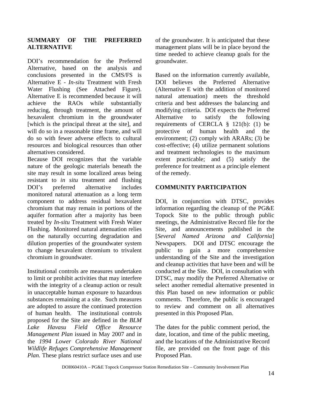# **SUMMARY OF THE PREFERRED ALTERNATIVE**

DOI's recommendation for the Preferred Alternative, based on the analysis and conclusions presented in the CMS/FS is Alternative E - *In-situ* Treatment with Fresh Water Flushing (See Attached Figure). Alternative E is recommended because it will achieve the RAOs while substantially reducing, through treatment, the amount of hexavalent chromium in the groundwater [which is the principal threat at the site], and will do so in a reasonable time frame, and will do so with fewer adverse effects to cultural resources and biological resources than other alternatives considered.

Because DOI recognizes that the variable nature of the geologic materials beneath the site may result in some localized areas being resistant to *in situ* treatment and flushing DOI's preferred alternative includes monitored natural attenuation as a long term component to address residual hexavalent chromium that may remain in portions of the aquifer formation after a majority has been treated by *In-situ* Treatment with Fresh Water Flushing. Monitored natural attenuation relies on the naturally occurring degradation and dilution properties of the groundwater system to change hexavalent chromium to trivalent chromium in groundwater.

Institutional controls are measures undertaken to limit or prohibit activities that may interfere with the integrity of a cleanup action or result in unacceptable human exposure to hazardous substances remaining at a site. Such measures are adopted to assure the continued protection of human health. The institutional controls proposed for the Site are defined in the *BLM Lake Havasu Field Office Resource Management Plan* issued in May 2007 and in the *1994 Lower Colorado River National Wildlife Refuges Comprehensive Management Plan.* These plans restrict surface uses and use of the groundwater. It is anticipated that these management plans will be in place beyond the time needed to achieve cleanup goals for the groundwater.

Based on the information currently available, DOI believes the Preferred Alternative (Alternative E with the addition of monitored natural attenuation) meets the threshold criteria and best addresses the balancing and modifying criteria. DOI expects the Preferred Alternative to satisfy the following requirements of CERCLA § 121(b): (1) be protective of human health and the environment; (2) comply with ARARs; (3) be cost-effective; (4) utilize permanent solutions and treatment technologies to the maximum extent practicable; and (5) satisfy the preference for treatment as a principle element of the remedy.

# **COMMUNITY PARTICIPATION**

DOI, in conjunction with DTSC, provides information regarding the cleanup of the PG&E Topock Site to the public through public meetings, the Administrative Record file for the Site, and announcements published in the [*Several Named Arizona and California*] Newspapers. DOI and DTSC encourage the public to gain a more comprehensive understanding of the Site and the investigation and cleanup activities that have been and will be conducted at the Site. DOI, in consultation with DTSC, may modify the Preferred Alternative or select another remedial alternative presented in this Plan based on new information or public comments. Therefore, the public is encouraged to review and comment on all alternatives presented in this Proposed Plan.

The dates for the public comment period, the date, location, and time of the public meeting, and the locations of the Administrative Record file, are provided on the front page of this Proposed Plan.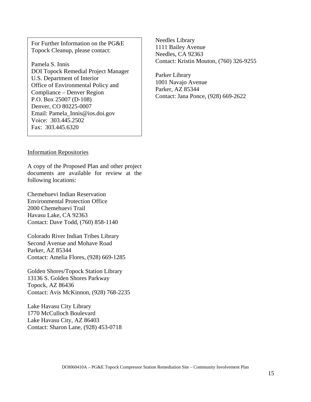For Further Information on the PG&E Topock Cleanup, please contact:

Pamela S. Innis DOI Topock Remedial Project Manager U.S. Department of Interior Office of Environmental Policy and Compliance – Denver Region P.O. Box 25007 (D-108) Denver, CO 80225-0007 Email: Pamela\_Innis@ios.doi.gov Voice: 303.445.2502 Fax: 303.445.6320

Needles Library 1111 Bailey Avenue Needles, CA 92363 Contact: Kristin Mouton, (760) 326-9255

Parker Library 1001 Navajo Avenue Parker, AZ 85344 Contact: Jana Ponce, (928) 669-2622

#### Information Repositories

A copy of the Proposed Plan and other project documents are available for review at the following locations:

Chemehuevi Indian Reservation Environmental Protection Office 2000 Chemehuevi Trail Havasu Lake, CA 92363 Contact: Dave Todd, (760) 858-1140

Colorado River Indian Tribes Library Second Avenue and Mohave Road Parker, AZ 85344 Contact: Amelia Flores, (928) 669-1285

Golden Shores/Topock Station Library 13136 S. Golden Shores Parkway Topock, AZ 86436 Contact: Avis McKinnon, (928) 768-2235

Lake Havasu City Library 1770 McCulloch Boulevard Lake Havasu City, AZ 86403 Contact: Sharon Lane, (928) 453-0718